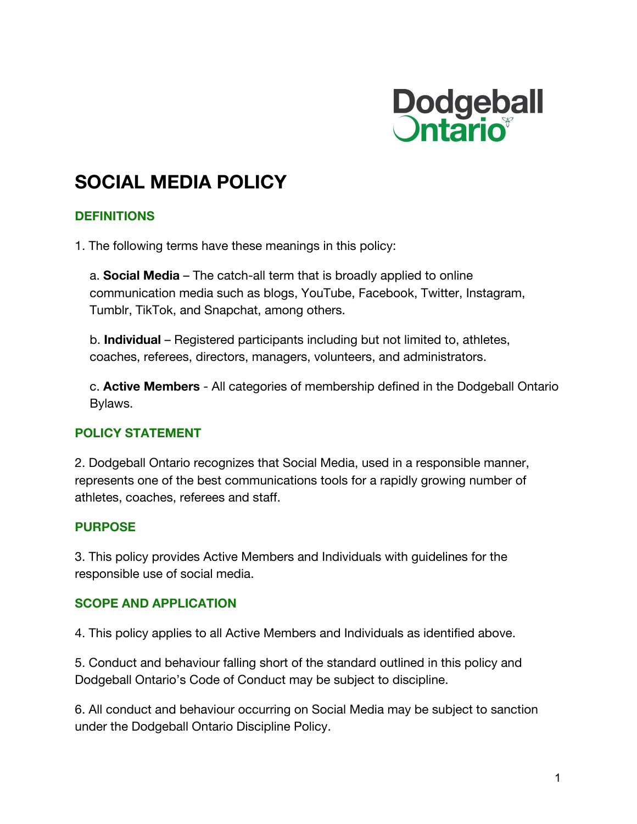

# **SOCIAL MEDIA POLICY**

#### **DEFINITIONS**

1. The following terms have these meanings in this policy:

a. **Social Media** – The catch-all term that is broadly applied to online communication media such as blogs, YouTube, Facebook, Twitter, Instagram, Tumblr, TikTok, and Snapchat, among others.

b. **Individual** – Registered participants including but not limited to, athletes, coaches, referees, directors, managers, volunteers, and administrators.

c. **Active Members** - All categories of membership defined in the Dodgeball Ontario Bylaws.

#### **POLICY STATEMENT**

2. Dodgeball Ontario recognizes that Social Media, used in a responsible manner, represents one of the best communications tools for a rapidly growing number of athletes, coaches, referees and staff.

#### **PURPOSE**

3. This policy provides Active Members and Individuals with guidelines for the responsible use of social media.

#### **SCOPE AND APPLICATION**

4. This policy applies to all Active Members and Individuals as identified above.

5. Conduct and behaviour falling short of the standard outlined in this policy and Dodgeball Ontario's Code of Conduct may be subject to discipline.

6. All conduct and behaviour occurring on Social Media may be subject to sanction under the Dodgeball Ontario Discipline Policy.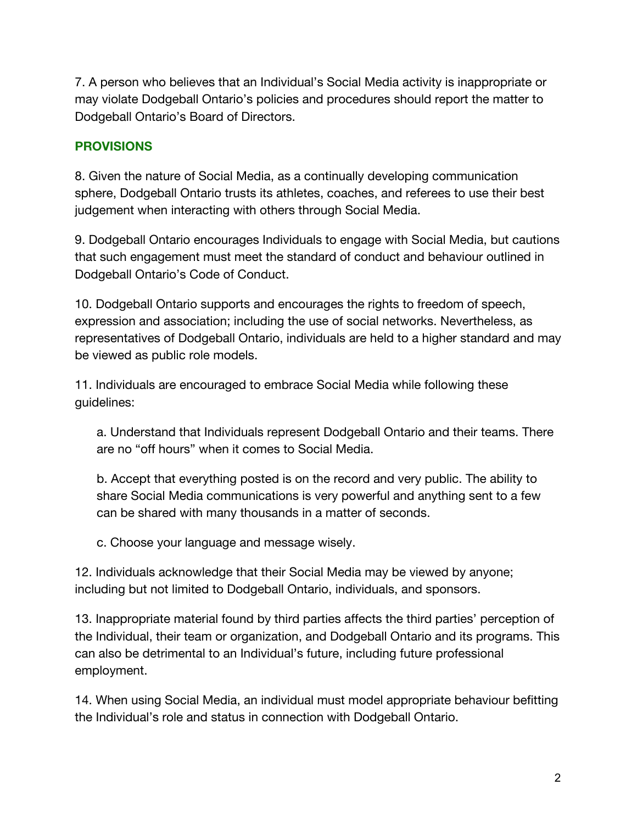7. A person who believes that an Individual's Social Media activity is inappropriate or may violate Dodgeball Ontario's policies and procedures should report the matter to Dodgeball Ontario's Board of Directors.

### **PROVISIONS**

8. Given the nature of Social Media, as a continually developing communication sphere, Dodgeball Ontario trusts its athletes, coaches, and referees to use their best judgement when interacting with others through Social Media.

9. Dodgeball Ontario encourages Individuals to engage with Social Media, but cautions that such engagement must meet the standard of conduct and behaviour outlined in Dodgeball Ontario's Code of Conduct.

10. Dodgeball Ontario supports and encourages the rights to freedom of speech, expression and association; including the use of social networks. Nevertheless, as representatives of Dodgeball Ontario, individuals are held to a higher standard and may be viewed as public role models.

11. Individuals are encouraged to embrace Social Media while following these guidelines:

a. Understand that Individuals represent Dodgeball Ontario and their teams. There are no "off hours" when it comes to Social Media.

b. Accept that everything posted is on the record and very public. The ability to share Social Media communications is very powerful and anything sent to a few can be shared with many thousands in a matter of seconds.

c. Choose your language and message wisely.

12. Individuals acknowledge that their Social Media may be viewed by anyone; including but not limited to Dodgeball Ontario, individuals, and sponsors.

13. Inappropriate material found by third parties affects the third parties' perception of the Individual, their team or organization, and Dodgeball Ontario and its programs. This can also be detrimental to an Individual's future, including future professional employment.

14. When using Social Media, an individual must model appropriate behaviour befitting the Individual's role and status in connection with Dodgeball Ontario.